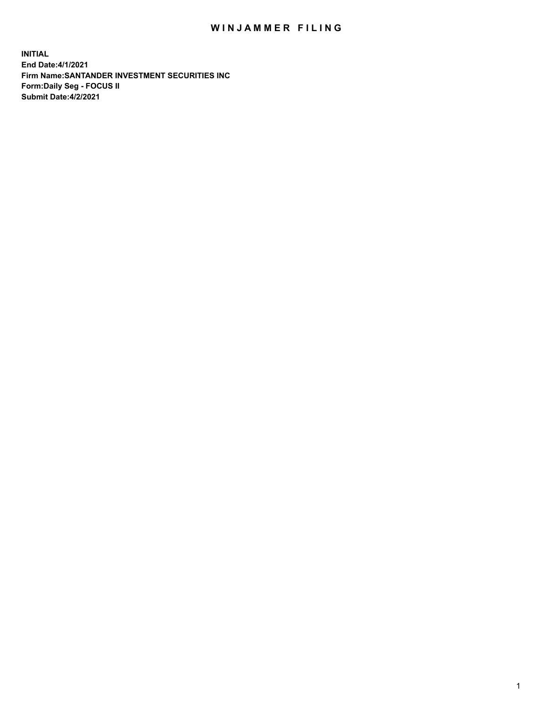## WIN JAMMER FILING

**INITIAL End Date:4/1/2021 Firm Name:SANTANDER INVESTMENT SECURITIES INC Form:Daily Seg - FOCUS II Submit Date:4/2/2021**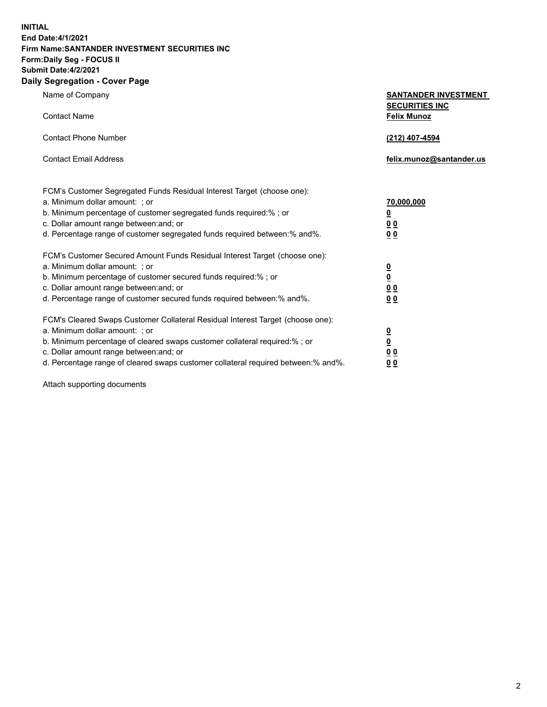**INITIAL End Date:4/1/2021 Firm Name:SANTANDER INVESTMENT SECURITIES INC Form:Daily Seg - FOCUS II Submit Date:4/2/2021 Daily Segregation - Cover Page**

| Name of Company                                                                | <b>SANTANDER INVESTMENT</b>                 |
|--------------------------------------------------------------------------------|---------------------------------------------|
| <b>Contact Name</b>                                                            | <b>SECURITIES INC</b><br><b>Felix Munoz</b> |
| <b>Contact Phone Number</b>                                                    | (212) 407-4594                              |
| <b>Contact Email Address</b>                                                   | felix.munoz@santander.us                    |
| FCM's Customer Segregated Funds Residual Interest Target (choose one):         |                                             |
| a. Minimum dollar amount: ; or                                                 | 70,000,000                                  |
| b. Minimum percentage of customer segregated funds required:%; or              | <u>0</u>                                    |
| c. Dollar amount range between: and; or                                        | 00                                          |
| d. Percentage range of customer segregated funds required between: % and %.    | 00                                          |
| FCM's Customer Secured Amount Funds Residual Interest Target (choose one):     |                                             |
| a. Minimum dollar amount: ; or                                                 | $\frac{0}{0}$                               |
| b. Minimum percentage of customer secured funds required:%; or                 |                                             |
| c. Dollar amount range between: and; or                                        | 0 <sub>0</sub>                              |
| d. Percentage range of customer secured funds required between:% and%.         | 0 <sub>0</sub>                              |
| FCM's Cleared Swaps Customer Collateral Residual Interest Target (choose one): |                                             |
| a. Minimum dollar amount: ; or                                                 |                                             |
| b. Minimum percentage of cleared swaps customer collateral required:% ; or     | $\frac{\Omega}{\Omega}$                     |
| c. Dollar amount range between: and; or                                        | 0 <sub>0</sub>                              |

d. Percentage range of cleared swaps customer collateral required between:% and%. **0 0**

Attach supporting documents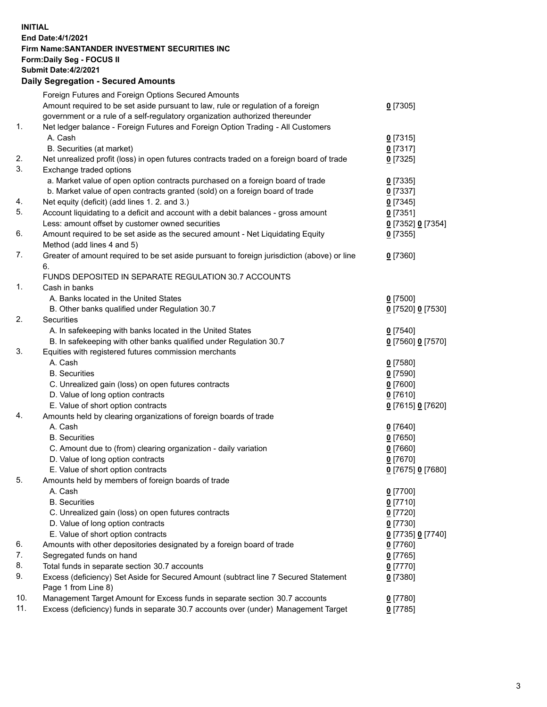## **INITIAL End Date:4/1/2021 Firm Name:SANTANDER INVESTMENT SECURITIES INC Form:Daily Seg - FOCUS II Submit Date:4/2/2021 Daily Segregation - Secured Amounts** Foreign Futures and Foreign Options Secured Amounts

|     | Foreign Futures and Foreign Options Secured Amounts                                         |                   |
|-----|---------------------------------------------------------------------------------------------|-------------------|
|     | Amount required to be set aside pursuant to law, rule or regulation of a foreign            | $0$ [7305]        |
|     | government or a rule of a self-regulatory organization authorized thereunder                |                   |
| 1.  | Net ledger balance - Foreign Futures and Foreign Option Trading - All Customers             |                   |
|     | A. Cash                                                                                     | $0$ [7315]        |
|     | B. Securities (at market)                                                                   | $0$ [7317]        |
| 2.  | Net unrealized profit (loss) in open futures contracts traded on a foreign board of trade   | $0$ [7325]        |
| 3.  | Exchange traded options                                                                     |                   |
|     | a. Market value of open option contracts purchased on a foreign board of trade              | $0$ [7335]        |
|     | b. Market value of open contracts granted (sold) on a foreign board of trade                | $0$ [7337]        |
| 4.  | Net equity (deficit) (add lines 1. 2. and 3.)                                               | $0$ [7345]        |
| 5.  | Account liquidating to a deficit and account with a debit balances - gross amount           | $0$ [7351]        |
|     | Less: amount offset by customer owned securities                                            | 0 [7352] 0 [7354] |
| 6.  | Amount required to be set aside as the secured amount - Net Liquidating Equity              | $0$ [7355]        |
|     | Method (add lines 4 and 5)                                                                  |                   |
| 7.  | Greater of amount required to be set aside pursuant to foreign jurisdiction (above) or line | $0$ [7360]        |
|     | 6.                                                                                          |                   |
|     | FUNDS DEPOSITED IN SEPARATE REGULATION 30.7 ACCOUNTS                                        |                   |
| 1.  | Cash in banks                                                                               |                   |
|     | A. Banks located in the United States                                                       | $0$ [7500]        |
|     | B. Other banks qualified under Regulation 30.7                                              | 0 [7520] 0 [7530] |
| 2.  | Securities                                                                                  |                   |
|     | A. In safekeeping with banks located in the United States                                   | $0$ [7540]        |
|     | B. In safekeeping with other banks qualified under Regulation 30.7                          | 0 [7560] 0 [7570] |
| 3.  | Equities with registered futures commission merchants                                       |                   |
|     | A. Cash                                                                                     | $0$ [7580]        |
|     | <b>B.</b> Securities                                                                        | $0$ [7590]        |
|     | C. Unrealized gain (loss) on open futures contracts                                         | $0$ [7600]        |
|     | D. Value of long option contracts                                                           | $0$ [7610]        |
|     | E. Value of short option contracts                                                          | 0 [7615] 0 [7620] |
| 4.  | Amounts held by clearing organizations of foreign boards of trade                           |                   |
|     | A. Cash                                                                                     | $0$ [7640]        |
|     | <b>B.</b> Securities                                                                        | $0$ [7650]        |
|     | C. Amount due to (from) clearing organization - daily variation                             | $0$ [7660]        |
|     | D. Value of long option contracts                                                           | $0$ [7670]        |
|     | E. Value of short option contracts                                                          | 0 [7675] 0 [7680] |
| 5.  | Amounts held by members of foreign boards of trade                                          |                   |
|     | A. Cash                                                                                     | $0$ [7700]        |
|     | <b>B.</b> Securities                                                                        | $0$ [7710]        |
|     | C. Unrealized gain (loss) on open futures contracts                                         | $0$ [7720]        |
|     | D. Value of long option contracts                                                           | $0$ [7730]        |
|     | E. Value of short option contracts                                                          | 0 [7735] 0 [7740] |
| 6.  | Amounts with other depositories designated by a foreign board of trade                      | $0$ [7760]        |
| 7.  | Segregated funds on hand                                                                    | $0$ [7765]        |
| 8.  | Total funds in separate section 30.7 accounts                                               | $0$ [7770]        |
| 9.  | Excess (deficiency) Set Aside for Secured Amount (subtract line 7 Secured Statement         | $0$ [7380]        |
|     | Page 1 from Line 8)                                                                         |                   |
| 10. | Management Target Amount for Excess funds in separate section 30.7 accounts                 | $0$ [7780]        |
| 11. | Excess (deficiency) funds in separate 30.7 accounts over (under) Management Target          | $0$ [7785]        |
|     |                                                                                             |                   |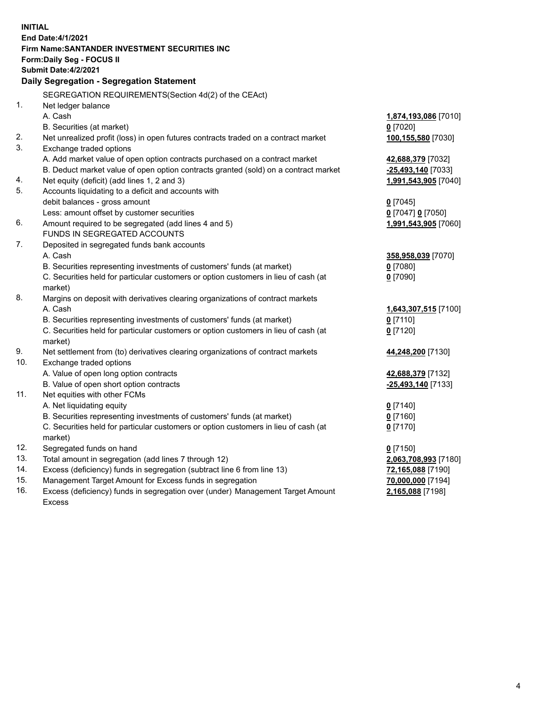| <b>INITIAL</b> |                                                                                     |                      |
|----------------|-------------------------------------------------------------------------------------|----------------------|
|                | End Date: 4/1/2021                                                                  |                      |
|                | Firm Name: SANTANDER INVESTMENT SECURITIES INC                                      |                      |
|                | <b>Form:Daily Seg - FOCUS II</b>                                                    |                      |
|                | <b>Submit Date: 4/2/2021</b>                                                        |                      |
|                | Daily Segregation - Segregation Statement                                           |                      |
|                | SEGREGATION REQUIREMENTS(Section 4d(2) of the CEAct)                                |                      |
| 1.             | Net ledger balance                                                                  |                      |
|                | A. Cash                                                                             | 1,874,193,086 [7010] |
|                | B. Securities (at market)                                                           | $0$ [7020]           |
| 2.             | Net unrealized profit (loss) in open futures contracts traded on a contract market  | 100,155,580 [7030]   |
| 3.             | Exchange traded options                                                             |                      |
|                | A. Add market value of open option contracts purchased on a contract market         | 42,688,379 [7032]    |
|                | B. Deduct market value of open option contracts granted (sold) on a contract market | -25,493,140 [7033]   |
| 4.             | Net equity (deficit) (add lines 1, 2 and 3)                                         | 1,991,543,905 [7040] |
| 5.             | Accounts liquidating to a deficit and accounts with                                 |                      |
|                | debit balances - gross amount                                                       | $0$ [7045]           |
|                | Less: amount offset by customer securities                                          | 0 [7047] 0 [7050]    |
| 6.             | Amount required to be segregated (add lines 4 and 5)                                | 1,991,543,905 [7060] |
|                | FUNDS IN SEGREGATED ACCOUNTS                                                        |                      |
| 7.             | Deposited in segregated funds bank accounts                                         |                      |
|                | A. Cash                                                                             | 358,958,039 [7070]   |
|                | B. Securities representing investments of customers' funds (at market)              | $0$ [7080]           |
|                | C. Securities held for particular customers or option customers in lieu of cash (at | $0$ [7090]           |
|                | market)                                                                             |                      |
| 8.             | Margins on deposit with derivatives clearing organizations of contract markets      |                      |
|                | A. Cash                                                                             | 1,643,307,515 [7100] |
|                | B. Securities representing investments of customers' funds (at market)              | $0$ [7110]           |
|                | C. Securities held for particular customers or option customers in lieu of cash (at | $0$ [7120]           |
|                | market)                                                                             |                      |
| 9.             | Net settlement from (to) derivatives clearing organizations of contract markets     | 44,248,200 [7130]    |
| 10.            | Exchange traded options                                                             |                      |
|                | A. Value of open long option contracts                                              | 42,688,379 [7132]    |
|                | B. Value of open short option contracts                                             | -25,493,140 [7133]   |
| 11.            | Net equities with other FCMs                                                        |                      |
|                | A. Net liquidating equity                                                           | $0$ [7140]           |
|                | B. Securities representing investments of customers' funds (at market)              | $0$ [7160]           |
|                | C. Securities held for particular customers or option customers in lieu of cash (at | $0$ [7170]           |
| 12.            | market)                                                                             |                      |
| 13.            | Segregated funds on hand                                                            | $0$ [7150]           |
| 14.            | Total amount in segregation (add lines 7 through 12)                                | 2,063,708,993 [7180] |
| 15.            | Excess (deficiency) funds in segregation (subtract line 6 from line 13)             | 72,165,088 [7190]    |
| 16.            | Management Target Amount for Excess funds in segregation                            | 70,000,000 [7194]    |
|                | Excess (deficiency) funds in segregation over (under) Management Target Amount      | 2,165,088 [7198]     |
|                | <b>Excess</b>                                                                       |                      |